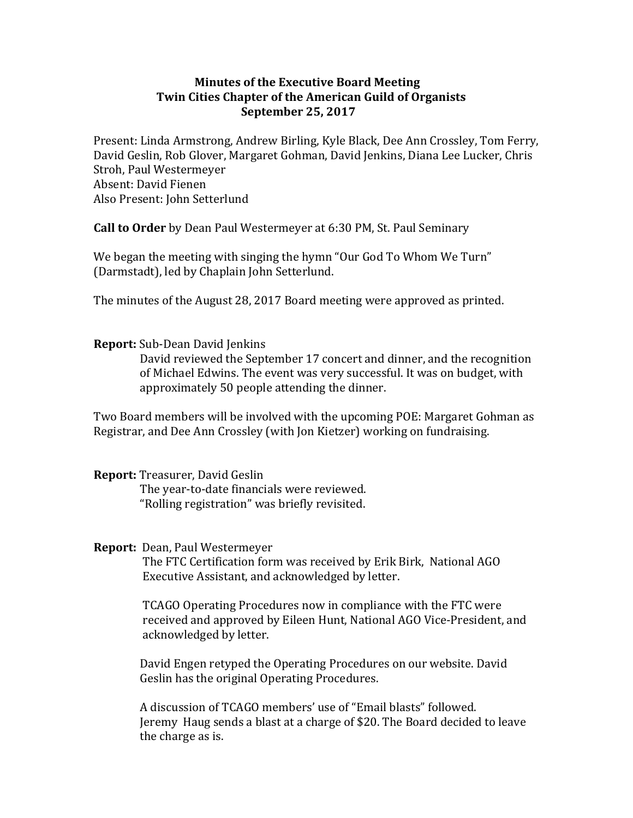## **Minutes of the Executive Board Meeting Twin Cities Chapter of the American Guild of Organists September 25, 2017**

Present: Linda Armstrong, Andrew Birling, Kyle Black, Dee Ann Crossley, Tom Ferry, David Geslin, Rob Glover, Margaret Gohman, David Jenkins, Diana Lee Lucker, Chris Stroh, Paul Westermeyer Absent: David Fienen Also Present: John Setterlund

**Call to Order** by Dean Paul Westermeyer at 6:30 PM, St. Paul Seminary

We began the meeting with singing the hymn "Our God To Whom We Turn" (Darmstadt), led by Chaplain John Setterlund.

The minutes of the August 28, 2017 Board meeting were approved as printed.

## **Report:** Sub-Dean David Jenkins

David reviewed the September 17 concert and dinner, and the recognition of Michael Edwins. The event was very successful. It was on budget, with approximately 50 people attending the dinner.

Two Board members will be involved with the upcoming POE: Margaret Gohman as Registrar, and Dee Ann Crossley (with Jon Kietzer) working on fundraising.

## **Report:** Treasurer, David Geslin

The year-to-date financials were reviewed. "Rolling registration" was briefly revisited.

## **Report:** Dean, Paul Westermeyer

The FTC Certification form was received by Erik Birk, National AGO Executive Assistant, and acknowledged by letter.

TCAGO Operating Procedures now in compliance with the FTC were received and approved by Eileen Hunt, National AGO Vice-President, and acknowledged by letter.

David Engen retyped the Operating Procedures on our website. David Geslin has the original Operating Procedures.

A discussion of TCAGO members' use of "Email blasts" followed. Jeremy Haug sends a blast at a charge of \$20. The Board decided to leave the charge as is.